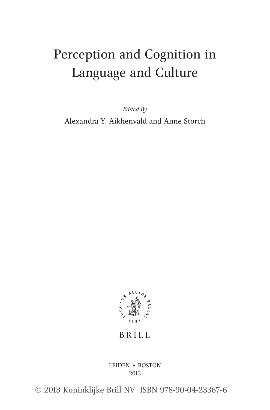# Perception and Cognition in Language and Culture

*Edited By*

Alexandra Y. Aikhenvald and Anne Storch



BRILL

LEIDEN • BOSTON 2013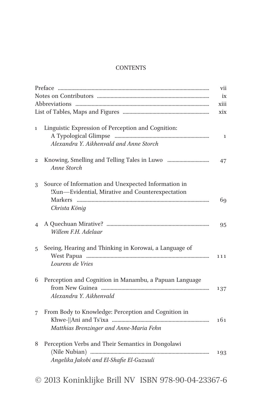# **CONTENTS**

|                |                                                                                                                          | vii  |
|----------------|--------------------------------------------------------------------------------------------------------------------------|------|
|                |                                                                                                                          | ix   |
|                |                                                                                                                          | xiii |
|                |                                                                                                                          | xix  |
| $\mathbf{1}$   | Linguistic Expression of Perception and Cognition:<br>Alexandra Y. Aikhenvald and Anne Storch                            | 1    |
| $\overline{2}$ | Anne Storch                                                                                                              | 47   |
| 3              | Source of Information and Unexpected Information in<br>!Xun-Evidential, Mirative and Counterexpectation<br>Christa König | 69   |
| $\overline{4}$ | Willem F.H. Adelaar                                                                                                      | 95   |
| 5              | Seeing, Hearing and Thinking in Korowai, a Language of<br>Lourens de Vries                                               | 111  |
| 6              | Perception and Cognition in Manambu, a Papuan Language<br>Alexandra Y. Aikhenvald                                        | 137  |
| 7              | From Body to Knowledge: Perception and Cognition in<br>Matthias Brenzinger and Anne-Maria Fehn                           | 161  |
| 8              | Perception Verbs and Their Semantics in Dongolawi<br>Angelika Jakobi and El-Shafie El-Guzuuli                            | 193  |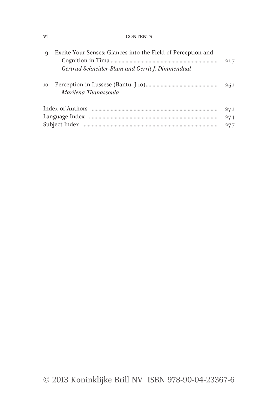# vi CONTENTS

| Excite Your Senses: Glances into the Field of Perception and<br>9<br>Gertrud Schneider-Blum and Gerrit J. Dimmendaal | 217 |  |  |  |
|----------------------------------------------------------------------------------------------------------------------|-----|--|--|--|
| 10<br>Marilena Thanassoula                                                                                           | 251 |  |  |  |
|                                                                                                                      | 271 |  |  |  |
|                                                                                                                      | 274 |  |  |  |
|                                                                                                                      |     |  |  |  |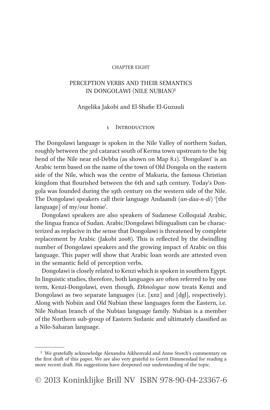#### CHAPTER EIGHT

# PERCEPTION VERBS AND THEIR SEMANTICS IN DONGOLAWI (NILE NUBIAN)1

### Angelika Jakobi and El-Shafie El-Guzuuli

#### 1 INTRODUCTION

The Dongolawi language is spoken in the Nile Valley of northern Sudan, roughly between the 3rd cataract south of Kerma town upstream to the big bend of the Nile near ed-Debba (as shown on Map 8.1). 'Dongolawi' is an Arabic term based on the name of the town of Old Dongola on the eastern side of the Nile, which was the centre of Makuria, the famous Christian kingdom that flourished between the 6th and 14th century. Today's Dongola was founded during the 19th century on the western side of the Nile. The Dongolawi speakers call their language Andaandi *(an-daa-n-di)* '[the language] of my/our home'.

Dongolawi speakers are also speakers of Sudanese Colloquial Arabic, the lingua franca of Sudan. Arabic/Dongolawi bilingualism can be characterized as replacive in the sense that Dongolawi is threatened by complete replacement by Arabic (Jakobi 2008). This is reflected by the dwindling number of Dongolawi speakers and the growing impact of Arabic on this language. This paper will show that Arabic loan words are attested even in the semantic field of perception verbs.

Dongolawi is closely related to Kenzi which is spoken in southern Egypt. In linguistic studies, therefore, both languages are often referred to by one term, Kenzi-Dongolawi, even though, *Ethnologue* now treats Kenzi and Dongolawi as two separate languages (i.e. [xnz] and [dgl], respectively). Along with Nobiin and Old Nubian these languages form the Eastern, i.e. Nile Nubian branch of the Nubian language family. Nubian is a member of the Northern sub-group of Eastern Sudanic and ultimately classified as a Nilo-Saharan language.

<sup>&</sup>lt;sup>1</sup> We gratefully acknowledge Alexandra Aikhenvald and Anne Storch's commentary on the first draft of this paper. We are also very grateful to Gerrit Dimmendaal for reading a more recent draft. His suggestions have deepened our understanding of the topic.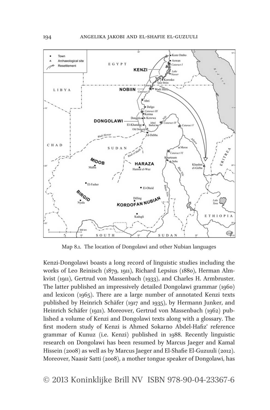

Map 8.1. The location of Dongolawi and other Nubian languages

Kenzi-Dongolawi boasts a long record of linguistic studies including the works of Leo Reinisch (1879, 1911), Richard Lepsius (1880), Herman Almkvist (1911), Gertrud von Massenbach (1933), and Charles H. Armbruster. The latter published an impressively detailed Dongolawi grammar (1960) and lexicon (1965). There are a large number of annotated Kenzi texts published by Heinrich Schäfer (1917 and 1935), by Hermann Junker, and Heinrich Schäfer (1921). Moreover, Gertrud von Massenbach (1962) published a volume of Kenzi and Dongolawi texts along with a glossary. The first modern study of Kenzi is Ahmed Sokarno Abdel-Hafiz' reference grammar of Kunuz (i.e. Kenzi) published in 1988. Recently linguistic research on Dongolawi has been resumed by Marcus Jaeger and Kamal Hissein (2008) as well as by Marcus Jaeger and El-Shafie El-Guzuuli (2012). Moreover, Naasir Satti (2008), a mother tongue speaker of Dongolawi, has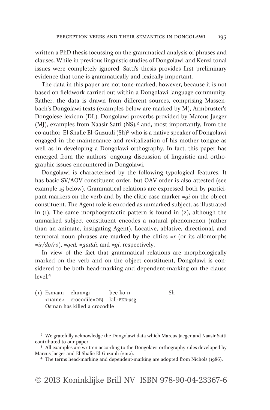written a PhD thesis focussing on the grammatical analysis of phrases and clauses. While in previous linguistic studies of Dongolawi and Kenzi tonal issues were completely ignored, Satti's thesis provides first preliminary evidence that tone is grammatically and lexically important.

The data in this paper are not tone-marked, however, because it is not based on fieldwork carried out within a Dongolawi language community. Rather, the data is drawn from different sources, comprising Massenbach's Dongolawi texts (examples below are marked by M), Armbruster's Dongolese lexicon (DL), Dongolawi proverbs provided by Marcus Jaeger (MJ), examples from Naasir Satti (NS),<sup>2</sup> and, most importantly, from the co-author, El-Shafie El-Guzuuli (Sh)<sup>3</sup> who is a native speaker of Dongolawi engaged in the maintenance and revitalization of his mother tongue as well as in developing a Dongolawi orthography. In fact, this paper has emerged from the authors' ongoing discussion of linguistic and orthographic issues encountered in Dongolawi.

Dongolawi is characterized by the following typological features. It has basic SV/AOV constituent order, but OAV order is also attested (see example 15 below). Grammatical relations are expressed both by participant markers on the verb and by the clitic case marker *=gi* on the object constituent. The Agent role is encoded as unmarked subject, as illustrated in (1). The same morphosyntactic pattern is found in (2), although the unmarked subject constituent encodes a natural phenomenon (rather than an animate, instigating Agent). Locative, ablative, directional, and temporal noun phrases are marked by the clitics *=r* (or its allomorphs *=ir/do/ro*), *=ged, =gaddi*, and *=gi*, respectively.

In view of the fact that grammatical relations are morphologically marked on the verb and on the object constituent, Dongolawi is considered to be both head-marking and dependent-marking on the clause level.4

(1) Esmaan elum=gi bee-ko-n Sh <name> crocodile=obj kill-per-3sg Osman has killed a crocodile

<sup>2</sup> We gratefully acknowledge the Dongolawi data which Marcus Jaeger and Naasir Satti contributed to our paper.

<sup>&</sup>lt;sup>3</sup> All examples are written according to the Dongolawi orthography rules developed by Marcus Jaeger and El-Shafie El-Guzuuli (2012).

<sup>4</sup> The terms head-marking and dependent-marking are adopted from Nichols (1986).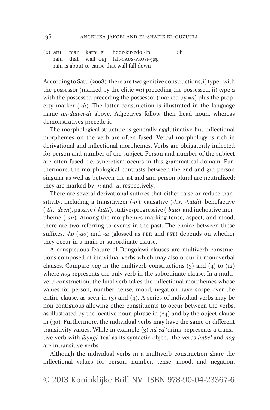(2) aru man katre=gi boor-kir-edol-in Sh rain that wall=obj fall-caus-prosp-3sg rain is about to cause that wall fall down

According to Satti (2008), there are two genitive constructions, i) type 1 with the possessor (marked by the clitic  $=n$ ) preceding the possessed, ii) type 2 with the possessed preceding the possessor (marked by *=n*) plus the property marker *(-di).* The latter construction is illustrated in the language name *an-daa-n-di* above. Adjectives follow their head noun, whereas demonstratives precede it.

The morphological structure is generally agglutinative but inflectional morphemes on the verb are often fused. Verbal morphology is rich in derivational and inflectional morphemes. Verbs are obligatorily inflected for person and number of the subject. Person and number of the subject are often fused, i.e. syncretism occurs in this grammatical domain. Furthermore, the morphological contrasts between the 2nd and 3rd person singular as well as between the 1st and 2nd person plural are neutralized; they are marked by *-n* and *-u*, respectively.

There are several derivational suffixes that either raise or reduce transitivity, including a transitivizer *(-ir)*, causative *(-kir, -kiddi)*, benefactive *(-tir, -deen)*, passive *(-katti)*, stative/progressive *(-buu)*, and inchoative morpheme *(-an).* Among the morphemes marking tense, aspect, and mood, there are two referring to events in the past. The choice between these suffixes, *-ko* (*-go*) and *-si* (glossed as PER and PST) depends on whether they occur in a main or subordinate clause.

A conspicuous feature of Dongolawi clauses are multiverb constructions composed of individual verbs which may also occur in monoverbal clauses. Compare *nog* in the multiverb constructions (3) and (4) to (12) where *nog* represents the only verb in the subordinate clause. In a multiverb construction, the final verb takes the inflectional morphemes whose values for person, number, tense, mood, negation have scope over the entire clause, as seen in (3) and (4). A series of individual verbs may be non-contiguous allowing other constituents to occur between the verbs, as illustrated by the locative noun phrase in (24) and by the object clause in  $(30)$ . Furthermore, the individual verbs may have the same or different transitivity values. While in example (3) *nii-ed* 'drink' represents a transitive verb with *ʃay=gi* 'tea' as its syntactic object, the verbs *imbel* and *nog* are intransitive verbs.

Although the individual verbs in a multiverb construction share the inflectional values for person, number, tense, mood, and negation,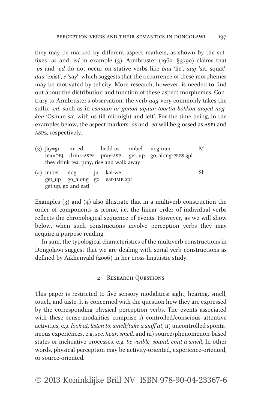they may be marked by different aspect markers, as shown by the suffixes *-os* and *-ed* in example (3). Armbruster (1960: §3790) claims that *-os* and *-ed* do not occur on stative verbs like *buu* 'lie', *aag* 'sit, squat', *daa* 'exist', *e* 'say', which suggests that the occurrence of these morphemes may be motivated by telicity. More research, however, is needed to find out about the distribution and function of these aspect morphemes. Contrary to Armbruster's observation, the verb *aag* very commonly takes the suffix -ed, such as in *esmaan ar gonon uguun toortin bokkon aaged nogkon* 'Osman sat with us till midnight and left'. For the time being, in the examples below, the aspect markers *-os* and *-ed* will be glossed as ASP1 and asp2, respectively.

| $(3)$ fay=gi | nii-ed                                                                             | bedd-os imbel nog-iran |                                                       | М  |
|--------------|------------------------------------------------------------------------------------|------------------------|-------------------------------------------------------|----|
|              | they drink tea, pray, rise and walk away                                           |                        | tea=OBJ drink-ASP2 pray-ASP1 get_up go_along-PRES.3pl |    |
|              | $(4)$ imbel nog ju kal-we<br>get_up go_along go eat-IMP.2pl<br>get up, go and eat! |                        |                                                       | Sh |

Examples  $(3)$  and  $(4)$  also illustrate that in a multiverb construction the order of components is iconic, i.e. the linear order of individual verbs reflects the chronological sequence of events. However, as we will show below, when such constructions involve perception verbs they may acquire a purpose reading.

In sum, the typological characteristics of the multiverb constructions in Dongolawi suggest that we are dealing with serial verb constructions as defined by Aikhenvald (2006) in her cross-linguistic study.

#### 2 RESEARCH QUESTIONS

This paper is restricted to five sensory modalities: sight, hearing, smell, touch, and taste. It is concerned with the question how they are expressed by the corresponding physical perception verbs. The events associated with these sense-modalities comprise i) controlled/conscious attentive activities, e.g. *look at, listen to, smell/take a snifff at*, ii) uncontrolled spontaneous experiences, e.g. *see, hear, smell*, and iii) source/phenomenon-based states or inchoative processes, e.g. *be visible, sound, emit a smell*. In other words, physical perception may be activity-oriented, experience-oriented, or source-oriented.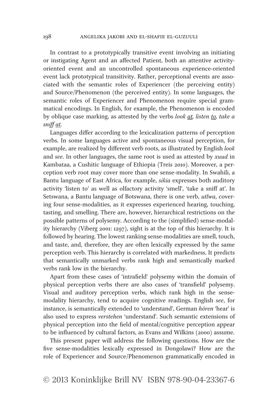In contrast to a prototypically transitive event involving an initiating or instigating Agent and an afffected Patient, both an attentive activityoriented event and an uncontrolled spontaneous experience-oriented event lack prototypical transitivity. Rather, perceptional events are associated with the semantic roles of Experiencer (the perceiving entity) and Source/Phenomenon (the perceived entity). In some languages, the semantic roles of Experiencer and Phenomenon require special grammatical encodings. In English, for example, the Phenomenon is encoded by oblique case marking, as attested by the verbs *look at, listen to, take a snifff at.*

Languages differ according to the lexicalization patterns of perception verbs. In some languages active and spontaneous visual perception, for example, are realized by different verb roots, as illustrated by English look and *see*. In other languages, the same root is used as attested by *xuud* in Kambataa, a Cushitic language of Ethiopia (Treis 2010). Moreover, a perception verb root may cover more than one sense-modality. In Swahili, a Bantu language of East Africa, for example, *sikia* expresses both auditory activity 'listen to' as well as olfactory activity 'smell', 'take a sniff at'. In Setswana, a Bantu language of Botswana, there is one verb, *utlwa*, covering four sense-modalities, as it expresses experienced hearing, touching, tasting, and smelling. There are, however, hierarchical restrictions on the possible patterns of polysemy. According to the (simplified) sense-modality hierarchy (Viberg 2001: 1297), sight is at the top of this hierarchy. It is followed by hearing. The lowest ranking sense-modalities are smell, touch, and taste, and, therefore, they are often lexically expressed by the same perception verb. This hierarchy is correlated with markedness. It predicts that semantically unmarked verbs rank high and semantically marked verbs rank low in the hierarchy.

Apart from these cases of 'intrafield' polysemy within the domain of physical perception verbs there are also cases of 'transfield' polysemy. Visual and auditory perception verbs, which rank high in the sensemodality hierarchy, tend to acquire cognitive readings. English *see*, for instance, is semantically extended to 'understand', German *hören* 'hear' is also used to express *verstehen* 'understand'. Such semantic extensions of physical perception into the field of mental/cognitive perception appear to be influenced by cultural factors, as Evans and Wilkins (2000) assume.

This present paper will address the following questions. How are the five sense-modalities lexically expressed in Dongolawi? How are the role of Experiencer and Source/Phenomenon grammatically encoded in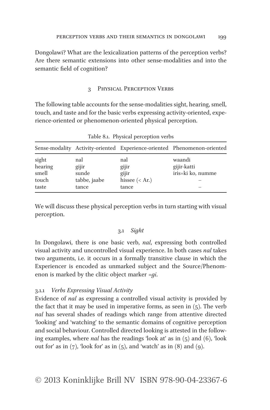Dongolawi? What are the lexicalization patterns of the perception verbs? Are there semantic extensions into other sense-modalities and into the semantic field of cognition?

### 3 Physical Perception Verbs

The following table accounts for the sense-modalities sight, hearing, smell, touch, and taste and for the basic verbs expressing activity-oriented, experience-oriented or phenomenon-oriented physical perception.

| rable o.i. I hysical perception verbs       |                                                |                                                  |                                                                          |  |  |
|---------------------------------------------|------------------------------------------------|--------------------------------------------------|--------------------------------------------------------------------------|--|--|
|                                             |                                                |                                                  | Sense-modality Activity-oriented Experience-oriented Phenomenon-oriented |  |  |
| sight<br>hearing<br>smell<br>touch<br>taste | nal<br>gijir<br>sunde<br>tabbe, jaabe<br>tance | nal<br>gijir<br>gijir<br>hissee $(Ar.)$<br>tance | waandi<br>gijir-katti<br>iris=ki ko, numme                               |  |  |

Table 8.1. Physical perception verbs

We will discuss these physical perception verbs in turn starting with visual perception.

# 3.1 *Sight*

In Dongolawi, there is one basic verb, *nal*, expressing both controlled visual activity and uncontrolled visual experience. In both cases *nal* takes two arguments, i.e. it occurs in a formally transitive clause in which the Experiencer is encoded as unmarked subject and the Source/Phenomenon is marked by the clitic object marker *=gi*.

### 3.1.1 *Verbs Expressing Visual Activity*

Evidence of *nal* as expressing a controlled visual activity is provided by the fact that it may be used in imperative forms, as seen in  $(5)$ . The verb *nal* has several shades of readings which range from attentive directed 'looking' and 'watching' to the semantic domains of cognitive perception and social behaviour. Controlled directed looking is attested in the following examples, where *nal* has the readings 'look at' as in (5) and (6), 'look out for' as in  $(7)$ , 'look for' as in  $(5)$ , and 'watch' as in  $(8)$  and  $(9)$ .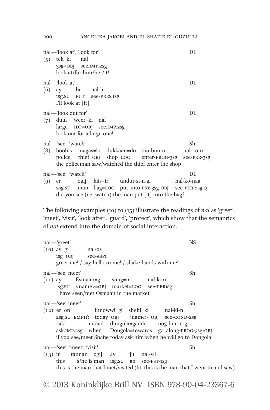|     | nal—'look at', 'look for'<br>$(5)$ tek=ki nal<br>3sg=OBJ see.IMP.2sg<br>look at/for him/her/it!            | DL |
|-----|------------------------------------------------------------------------------------------------------------|----|
|     | nal—'look at'<br>(6) ay bi nal-li<br>1sg.SU FUT see-PRES.1sg<br>I'll look at [it]                          | DL |
|     | nal—'look out for'<br>(7) duul weer=ki nal<br>large IDF=OBJ see.IMP.2sg<br>look out for a large one!       | DL |
|     | nal—'see', 'watch'                                                                                         | Sh |
|     | (8) booliis magas=ki dukkaan=do too-buu-n nal-ko-n                                                         |    |
|     | police thief=OBJ shop=LOC enter-PROG-3sg see-PER-3sg<br>the policeman saw/watched the thief enter the shop |    |
|     | nal—'see', 'watch'                                                                                         | DL |
| (9) | ogij kiis=ir undur-si-n-gi   nal-ko-naa<br>er                                                              |    |
|     | 2sg.su man bag=LOC put_into-PST-3sg-OBJ see-PER-2sg.Q                                                      |    |
|     | did you see (i.e. watch) the man put [it] into the bag?                                                    |    |

The following examples (10) to (15) illustrate the readings of *nal* as 'greet', 'meet', 'visit', 'look after', 'guard', 'protect', which show that the semantics of *nal* extend into the domain of social interaction.

| nal—'greet'                                                                      | <b>NS</b> |
|----------------------------------------------------------------------------------|-----------|
| $(10)$ ay=gi nal-os                                                              |           |
| 1sg=OBJ see-ASP1                                                                 |           |
| greet me! / say hello to me! / shake hands with me!                              |           |
| nal—'see, meet'                                                                  | Sh        |
| (11) ay Esmaan=gi suug=ir nal-kori                                               |           |
| 1sg.su <name>=0BJ market=LOC see-PER1sg</name>                                   |           |
| I have seen/met Osmaan in the market                                             |           |
| nal—'see, meet'                                                                  | Sh        |
| (12) er=on innowwi=gi shefii=ki nal-ki-n                                         |           |
| 2sg.SU=EMPH? today=OBJ <name>=OBJ see-COND-2sg</name>                            |           |
| isikki intaad dungula=gaddi nog-buu-n-gi                                         |           |
| ask.IMP.2sg when Dongola=towards go_along-PROG-3sg-OBJ                           |           |
| if you see/meet Shafie today ask him when he will go to Dongola                  |           |
| nal—'see', 'meet', 'visit'                                                       | Sh        |
| (13) in tannan ogij ay ju nal-s-i                                                |           |
| this s/he is man usg.su go see-PST-1sg                                           |           |
| this is the man that I met/visited (lit. this is the man that I went to and saw) |           |
|                                                                                  |           |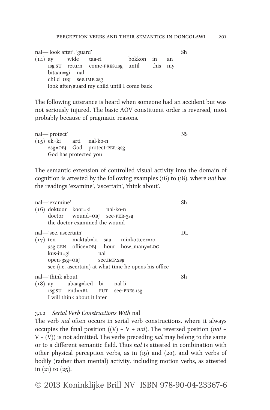nal—'look after', 'guard' Sh (14) ay wide taa-ri bokkon in an 1sg.su return come-pres.1sg until this my bitaan=gi nal child=obj see.imp.2sg look after/guard my child until I come back

The following utterance is heard when someone had an accident but was not seriously injured. The basic AOV constituent order is reversed, most probably because of pragmatic reasons.

| nal—'protect'              |  |                             | NS. |
|----------------------------|--|-----------------------------|-----|
| $(15)$ ek=ki arti nal-ko-n |  |                             |     |
|                            |  | 2sg=OBJ God protect-PER-3sg |     |
| God has protected you      |  |                             |     |

The semantic extension of controlled visual activity into the domain of cognition is attested by the following examples (16) to (18), where *nal* has the readings 'examine', 'ascertain', 'think about'.

nal—'examine' Sh (16) doktoor koor=ki nal-ko-n doctor wound=obj see-per-3sg the doctor examined the wound nal—'see, ascertain' DL (17) ten maktab=ki saa minkotteer=ro 3sg.GEN office=OBJ hour how\_many=LOC kus-in=gi nal open-3sg=obj see.imp.2sg see (i.e. ascertain) at what time he opens his office nal—'think about' Sh (18) ay abaag=ked bi nal-li 1sg.su end=abl fut see-pres.1sg I will think about it later

3.1.2 *Serial Verb Constructions With* nal

The verb *nal* often occurs in serial verb constructions, where it always occupies the final position  $((V) + V + \text{nal})$ . The reversed position (*nal* + V + (V)) is not admitted. The verbs preceding *nal* may belong to the same or to a different semantic field. Thus *nal* is attested in combination with other physical perception verbs, as in (19) and (20), and with verbs of bodily (rather than mental) activity, including motion verbs, as attested in  $(21)$  to  $(25)$ .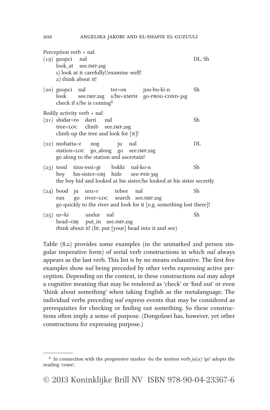| Perception verb + nal<br>(19) guunci nal<br>look_at see.IMP.2sg<br>1) look at it carefully!/examine well!<br>2) think about it!                       | DL, Sh |
|-------------------------------------------------------------------------------------------------------------------------------------------------------|--------|
| (20) guunci nal      ter=on     juu-bu-ki-n<br>look see.IMP.2sg s/he=EMPH go-PROG-COND-3sg<br>check if s/he is coming <sup>5</sup>                    | Sh     |
| Bodily activity verb + nal<br>$(21)$ shidar=ro darri<br>nal<br>tree=LOC climb see.IMP.2sg<br>climb up the tree and look for [it]!                     | Sh     |
| (22) mohatta=r nog ju nal<br>station=LOC go_along go see.IMP.2sg<br>go along to the station and ascertain!                                            | DI.    |
| (23) tood tinn-essi=gi bokki nal-ko-n<br>boy his-sister=OBJ hide see-PER-3sg<br>the boy hid and looked at his sister/he looked at his sister secretly | Sh     |
| (24) bood ju uru=r tebee nal<br>go river=LOC search see.IMP.2sg<br>run<br>go quickly to the river and look for it [e.g. something lost there]!        | Sh     |
| undur nal<br>$(25)$ ur=ki<br>head=OBJ put_in see.IMP.2sg<br>think about it! (lit. put [your] head into it and see)                                    | Sh     |

Table (8.2) provides some examples (in the unmarked 2nd person singular imperative form) of serial verb constructions in which *nal* always appears as the last verb. This list is by no means exhaustive. The first five examples show *nal* being preceded by other verbs expressing active perception. Depending on the context, in these constructions *nal* may adopt a cognitive meaning that may be rendered as 'check' or 'find out' or even 'think about something' when taking English as the metalanguage. The individual verbs preceding *nal* express events that may be considered as prerequisites for checking or finding out something. So these constructions often imply a sense of purpose. (Dongolawi has, however, yet other constructions for expressing purpose.)

<sup>&</sup>lt;sup>5</sup> In connection with the progressive marker *-bu* the motion verb  $ju(u)$  'go' adopts the reading 'come'.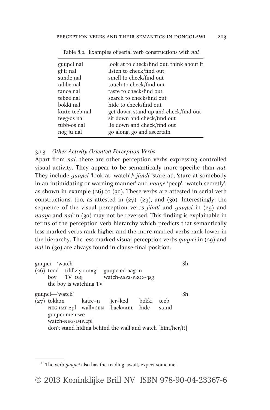| look at to check/find out, think about it |
|-------------------------------------------|
| listen to check/find out                  |
| smell to check/find out                   |
| touch to check/find out                   |
| taste to check/find out                   |
| search to check/find out                  |
| hide to check/find out                    |
| get down, stand up and check/find out     |
| sit down and check/find out               |
| lie down and check/find out               |
| go along, go and ascertain                |
|                                           |

| Table 8.2. Examples of serial verb constructions with nal |  |  |
|-----------------------------------------------------------|--|--|
|-----------------------------------------------------------|--|--|

### 3.1.3 *Other Activity-Oriented Perception Verbs*

Apart from *nal*, there are other perception verbs expressing controlled visual activity. They appear to be semantically more specific than *nal*. They include *guuɲci* 'look at, watch',6 *jiindi* 'stare at', 'stare at somebody in an intimidating or warning manner' and *naaŋe* 'peep', 'watch secretly', as shown in example  $(26)$  to  $(30)$ . These verbs are attested in serial verb constructions, too, as attested in  $(27)$ ,  $(29)$ , and  $(30)$ . Interestingly, the sequence of the visual perception verbs *jiindi* and *guuɲci* in (29) and *naane* and *nal* in (30) may not be reversed. This finding is explainable in terms of the perception verb hierarchy which predicts that semantically less marked verbs rank higher and the more marked verbs rank lower in the hierarchy. The less marked visual perception verbs *guuɲci* in (29) and *nal* in (30) are always found in clause-final position.

guuɲci—'watch' Sh  $(26)$  tood tilifiziyoon=gi guunc-ed-aag-in boy TV=obj watch-asp2-prog-3sg the boy is watching TV guuɲci—'watch' Sh (27) tokkon katre=n jer=ked bokki teeb neg.imp.2pl wall=gen back=abl hide stand guunci-men-we watch-neg-imp.2pl don't stand hiding behind the wall and watch [him/her/it]

<sup>6</sup> The verb *guuɲci* also has the reading 'await, expect someone'.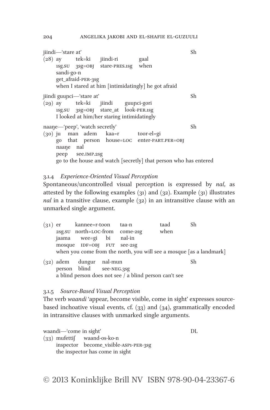| jiindi—'stare at' |                                |                                            |                                                                  | Sh |
|-------------------|--------------------------------|--------------------------------------------|------------------------------------------------------------------|----|
|                   |                                | (28) ay tek=ki jiindi-ri                   | gaal                                                             |    |
|                   |                                | 1sg.su 3sg=0BJ stare-PRES.1sg when         |                                                                  |    |
| sandi-go-n        |                                |                                            |                                                                  |    |
|                   | get_afraid-PER-3sg             |                                            |                                                                  |    |
|                   |                                |                                            | when I stared at him [intimidatingly] he got afraid              |    |
|                   | jiindi guunci—'stare at'       |                                            |                                                                  | Sh |
|                   |                                | (29) ay tek=ki jiindi guupci-gori          |                                                                  |    |
|                   |                                | 1sg.su 3sg=0BJ stare_at look-PER.1sg       |                                                                  |    |
|                   |                                | I looked at him/her staring intimidatingly |                                                                  |    |
|                   | naane—'peep', 'watch secretly' |                                            |                                                                  | Sh |
|                   |                                | (30) ju man adem kaa=r toor-el=gi          |                                                                  |    |
|                   |                                |                                            | go that person house=LOC enter-PART.PER=OBJ                      |    |
| naane nal         |                                |                                            |                                                                  |    |
|                   | peep see.IMP.2sg               |                                            |                                                                  |    |
|                   |                                |                                            | go to the house and watch [secretly] that person who has entered |    |

### 3.1.4 *Experience-Oriented Visual Perception*

Spontaneous/uncontrolled visual perception is expressed by *nal*, as attested by the following examples (31) and (32). Example (31) illustrates *nal* in a transitive clause, example (32) in an intransitive clause with an unmarked single argument.

|       | $(31)$ er kannee=r-toon                                |  | taa-n | taad                                                                | Sh |
|-------|--------------------------------------------------------|--|-------|---------------------------------------------------------------------|----|
|       | 2sg.su north=LOC-from come-2sg                         |  |       | when                                                                |    |
| jaama | wee=gi bi nal-in                                       |  |       |                                                                     |    |
|       | mosque IDF=OBJ FUT see-2sg                             |  |       |                                                                     |    |
|       |                                                        |  |       | when you come from the north, you will see a mosque [as a landmark] |    |
|       | $(32)$ adem dungur nal-mun<br>person blind see-NEG.3sg |  |       | a blind person does not see / a blind person can't see              | Sh |
|       |                                                        |  |       |                                                                     |    |

### 3.1.5 *Source-Based Visual Perception*

The verb *waandi* 'appear, become visible, come in sight' expresses sourcebased inchoative visual events, cf. (33) and (34), grammatically encoded in intransitive clauses with unmarked single arguments.

waandi—'come in sight' DL

(33) mufettiʃ waand-os-ko-n inspector become\_visible-asp1-per-3sg the inspector has come in sight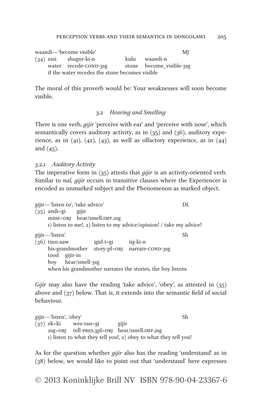waandi—'become visible' MJ<br>(24) essi shugur-ki-n kulu waandi-n (34) essi shugur-ki-n kulu waandi-n water recede-COND-3sg stone become\_visible-3sg if the water recedes the stone becomes visible

The moral of this proverb would be: Your weaknesses will soon become visible.

### 3.2 *Hearing and Smelling*

There is one verb, *gijir* 'perceive with ear' and 'perceive with nose', which semantically covers auditory activity, as in  $(35)$  and  $(36)$ , auditory experience, as in  $(41)$ ,  $(42)$ ,  $(43)$ , as well as olfactory experience, as in  $(44)$ and (45).

3.2.1 *Auditory Activity*

The imperative form in (35) attests that *gijir* is an activity-oriented verb. Similar to *nal, gijir* occurs in transitive clauses where the Experiencer is encoded as unmarked subject and the Phenomenon as marked object.

gijir—'listen to', 'take advice' DL (35) andi=gi gijir mine=obj hear/smell.imp.2sg 1) listen to me!, 2) listen to my advice/opinion! / take my advice! gijir—'listen' Sh  $(36)$  tinn-aaw igid-i=gi iig-ki-n his-grandmother story-pl=OBJ narrate-COND-3sg tood gijir-in boy hear/smell-3sg when his grandmother narrates the stories, the boy listens

*Gijir* may also have the reading 'take advice', 'obey', as attested in (35) above and  $(37)$  below. That is, it extends into the semantic field of social behaviour.

gijir—'listen', 'obey' Sh (37) ek=ki wee-ran=gi gijir 2sg=obj tell-pres.3pl=obj hear/smell.imp.2sg 1) listen to what they tell you!, 2) obey to what they tell you!

As for the question whether *gijir* also has the reading 'understand' as in (38) below, we would like to point out that 'understand' here expresses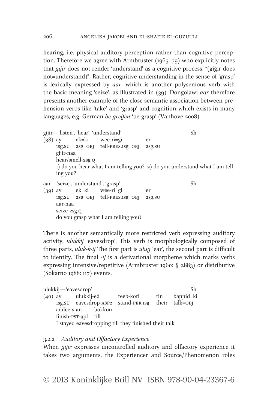hearing, i.e. physical auditory perception rather than cognitive perception. Therefore we agree with Armbruster (1965: 79) who explicitly notes that *gijir* does not render 'understand' as a cognitive process, "(giğir does not=understand)". Rather, cognitive understanding in the sense of 'grasp' is lexically expressed by *aar*, which is another polysemous verb with the basic meaning 'seize', as illustrated in (39). Dongolawi *aar* therefore presents another example of the close semantic association between prehension verbs like 'take' and 'grasp' and cognition which exists in many languages, e.g. German *be-greifen* 'be-grasp' (Vanhove 2008).

gijir—'listen', 'hear', 'understand' Sh (38) ay ek=ki wee-ri=gi er 1sg.su 2sg=obj tell-pres.1sg=obj 2sg.su gijir-naa hear/smell-2sg.q 1) do you hear what I am telling you?, 2) do you understand what I am telling you? aar—'seize', 'understand', 'grasp' Sh (39) ay ek=ki wee-ri=gi er 1sg.su 2sg=obj tell-pres.1sg=obj 2sg.su aar-naa seize-2sg.q do you grasp what I am telling you?

There is another semantically more restricted verb expressing auditory activity, *ulukkij* 'eavesdrop'. This verb is morphologically composed of three parts, *uluk-k-ij* The first part is *ulug* 'ear', the second part is difficult to identify. The final  $-ij$  is a derivational morpheme which marks verbs expressing intensive/repetitive (Armbruster 1960: § 2883) or distributive (Sokarno 1988: 117) events.

```
ulukkij—'eavesdrop' Sh
(40) ay ulukkij-ed teeb-kori tin baɲɲid=ki
    1sg.su eavesdrop-asp2 stand-per.1sg their talk=obj
    addee-s-an bokkon
   finish-pst-3pl till
   I stayed eavesdropping till they finished their talk
```
# 3.2.2 *Auditory and Olfactory Experience*

When *gijir* expresses uncontrolled auditory and olfactory experience it takes two arguments, the Experiencer and Source/Phenomenon roles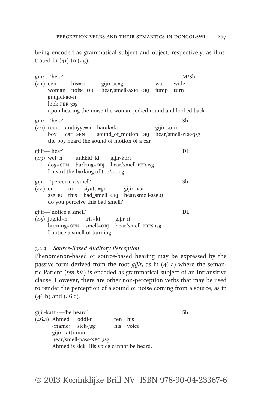being encoded as grammatical subject and object, respectively, as illustrated in  $(41)$  to  $(45)$ .

| gijir—'hear' |                                  |                                                               | M/Sh |
|--------------|----------------------------------|---------------------------------------------------------------|------|
|              |                                  | (41) een his=ki gijir-os=gi war wide                          |      |
|              |                                  | woman noise=OBJ hear/smell-ASP1=OBJ jump turn                 |      |
| guunci-go-n  |                                  |                                                               |      |
| look-PER-3sg |                                  |                                                               |      |
|              |                                  | upon hearing the noise the woman jerked round and looked back |      |
| gijir—'hear' |                                  |                                                               | Sh   |
|              | (42) tood arabiyye=n harak=ki    | gijir-ko-n                                                    |      |
|              |                                  | boy car=GEN sound_of_motion=OBJ hear/smell-PER-3sg            |      |
|              |                                  | the boy heard the sound of motion of a car                    |      |
| gijir—'hear' |                                  |                                                               | DI.  |
|              | (43) wel=n uukkid=ki gijir-kori  |                                                               |      |
|              |                                  | dog=GEN barking=OBJ hear/smell-PER.1sg                        |      |
|              | I heard the barking of the/a dog |                                                               |      |
|              | gijir-'perceive a smell'         |                                                               | Sh   |
|              |                                  | (44) er in siyatti=gi gijir-naa                               |      |
|              |                                  | 2sg.su this bad_smell=OBJ hear/smell-2sg.Q                    |      |
|              | do you perceive this bad smell?  |                                                               |      |
|              |                                  |                                                               |      |
|              | gijir-'notice a smell'           |                                                               | DI.  |
|              | (45) jugiid=n iris=ki gijir-ri   |                                                               |      |
|              |                                  | burning=GEN smell=OBJ hear/smell-PRES.1sg                     |      |
|              | I notice a smell of burning      |                                                               |      |

3.2.3 *Source-Based Auditory Perception*

Phenomenon-based or source-based hearing may be expressed by the passive form derived from the root *gijir*, as in (46.a) where the semantic Patient (*ten his*) is encoded as grammatical subject of an intransitive clause. However, there are other non-perception verbs that may be used to render the perception of a sound or noise coming from a source, as in (46.b) and (46.c).

| gijir-katti--be heard'            |                                           |         |           | Sh |  |
|-----------------------------------|-------------------------------------------|---------|-----------|----|--|
| $(46.a)$ Ahmed oddi-n             |                                           | ten his |           |    |  |
| $\langle$ name $\rangle$ sick-3sg |                                           |         | his voice |    |  |
| gijir-katti-mun                   |                                           |         |           |    |  |
| hear/smell-pass-NEG.3sg           |                                           |         |           |    |  |
|                                   | Ahmed is sick. His voice cannot be heard. |         |           |    |  |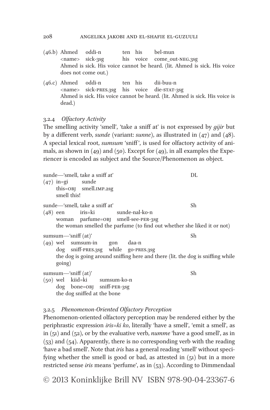#### 208 angelika jakobi and el-shafie el-guzuuli

- (46.b) Ahmed oddi-n ten his bel-mun <name> sick-3sg his voice come\_out-neg.3sg Ahmed is sick. His voice cannot be heard. (lit. Ahmed is sick. His voice does not come out.)
- (46.c) Ahmed oddi-n ten his dii-buu-n <name> sick-pres.3sg his voice die-stat-3sg Ahmed is sick. His voice cannot be heard. (lit. Ahmed is sick. His voice is dead.)

3.2.4 *Olfactory Activity*

The smelling activity 'smell', 'take a sniff at' is not expressed by *gijir* but by a diffferent verb, *sunde* (variant: *sunne*), as illustrated in (47) and (48). A special lexical root, *sumsum* 'sniff', is used for olfactory activity of animals, as shown in (49) and (50). Except for (49), in all examples the Experiencer is encoded as subject and the Source/Phenomenon as object.

| sunde—'smell, take a sniff at'<br>$(47)$ in=gi sunde<br>this=OBJ smell.IMP.2sg<br>smell this!                                                                                            | DL |
|------------------------------------------------------------------------------------------------------------------------------------------------------------------------------------------|----|
| sunde—'smell, take a sniff at'<br>$(48)$ een<br>woman parfume=OBJ smell-see-PER-3sg<br>the woman smelled the parfume (to find out whether she liked it or not)                           | Sh |
| sumsum—'sniff (at)'<br>(49) wel sumsum-in gon daa-n<br>dog sniff-PRES.3sg while go-PRES.3sg<br>the dog is going around sniffing here and there (lit. the dog is sniffing while<br>going) | Sh |
| sum sum—'sniff $(at)$ '<br>(50) wel kiid=ki sumsum-ko-n<br>dog bone=OBJ sniff-PER-3sg<br>the dog sniffed at the bone                                                                     | Sh |

# 3.2.5 *Phenomenon-Oriented Olfactory Perception*

Phenomenon-oriented olfactory perception may be rendered either by the periphrastic expression *iris=ki ko*, literally 'have a smell', 'emit a smell', as in (51) and (52), or by the evaluative verb, *numme* 'have a good smell', as in (53) and (54). Apparently, there is no corresponding verb with the reading 'have a bad smell'. Note that *iris* has a general reading 'smell' without specifying whether the smell is good or bad, as attested in (51) but in a more restricted sense *iris* means 'perfume', as in (53). According to Dimmendaal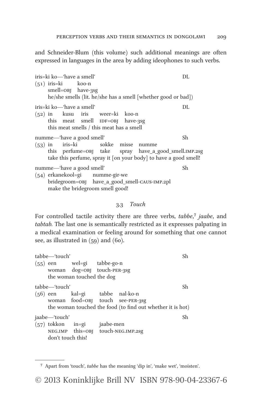and Schneider-Blum (this volume) such additional meanings are often expressed in languages in the area by adding ideophones to such verbs.

iris=ki ko—'have a smell' DL (51) iris=ki koo-n smell=OBJ have-3sg he/she smells (lit. he/she has a smell [whether good or bad]) iris=ki ko—'have a smell' DL kusu iris weer=ki koo-n this meat smell IDF=OBJ have-3sg this meat smells / this meat has a smell numme—'have a good smell' Sh (53) in iris=ki sokke misse numme this perfume=obj take spray have\_a\_good\_smell.imp.2sg take this perfume, spray it [on your body] to have a good smell! numme—'have a good smell' Sh (54) erkanekool=gi numme-gir-we bridegroom=obj have\_a\_good\_smell-caus-imp.2pl make the bridegroom smell good!

## 3.3 *Touch*

For controlled tactile activity there are three verbs, *tabbe*,<sup>7</sup> *jaabe*, and *tabtab.* The last one is semantically restricted as it expresses palpating in a medical examination or feeling around for something that one cannot see, as illustrated in (59) and (60).

| tabbe—'touch'     |                                                                                        |                                                                                                | Sh |
|-------------------|----------------------------------------------------------------------------------------|------------------------------------------------------------------------------------------------|----|
|                   | (55) een wel=gi tabbe-go-n<br>woman dog=OBJ touch-PER-3sg<br>the woman touched the dog |                                                                                                |    |
| tabbe—'touch'     |                                                                                        |                                                                                                | Sh |
|                   | (56) een kal=gi tabbe nal-ko-n                                                         | woman food=OBJ touch see-PER-3sg<br>the woman touched the food (to find out whether it is hot) |    |
| jaabe—'touch'     |                                                                                        |                                                                                                | Sh |
| don't touch this! | (57) tokkon in=gi jaabe-men                                                            | NEG.IMP this=OBJ touch-NEG.IMP.2sg                                                             |    |

<sup>7</sup> Apart from 'touch', *tabbe* has the meaning 'dip in', 'make wet', 'moisten'.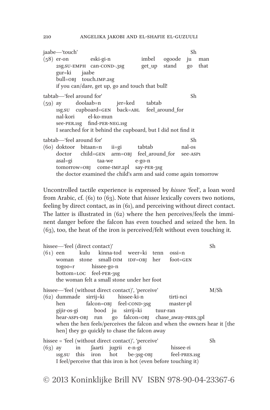210 angelika jakobi and el-shafie el-guzuuli

| jaabe-'touch'            |                                                                  |  |                      | Sh |  |
|--------------------------|------------------------------------------------------------------|--|----------------------|----|--|
|                          | $(58)$ er-on eski-gi-n                                           |  | imbel ogoode ju man  |    |  |
|                          | 2sg.SU-EMPH can-COND-.3sg                                        |  | get_up stand go that |    |  |
| gur=ki jaabe             |                                                                  |  |                      |    |  |
|                          | bull=OBJ touch.IMP.2Sg                                           |  |                      |    |  |
|                          | if you can/dare, get up, go and touch that bull!                 |  |                      |    |  |
| tabtab—'feel around for' |                                                                  |  |                      | Sh |  |
|                          | (59) ay doolaab=n jer=ked tabtab                                 |  |                      |    |  |
|                          | 1sg.su cupboard=GEN back=ABL feel_around_for                     |  |                      |    |  |
|                          | nal-kori el-ko-mun                                               |  |                      |    |  |
|                          | see-PER.1sg find-PER-NEG.1sg                                     |  |                      |    |  |
|                          | I searched for it behind the cupboard, but I did not find it     |  |                      |    |  |
| tabtab—'feel around for' |                                                                  |  |                      | Sh |  |
|                          | (60) doktoor bitaan=n ii=gi tabtab nal-os                        |  |                      |    |  |
|                          | doctor child=GEN arm=OBJ feel_around_for see-ASP1                |  |                      |    |  |
|                          | asal=gi taa-we e-go-n                                            |  |                      |    |  |
|                          | tomorrow=OBJ come-IMP.2pl say-PER-3sg                            |  |                      |    |  |
|                          | the doctor examined the child's arm and said come again tomorrow |  |                      |    |  |

Uncontrolled tactile experience is expressed by *hissee* 'feel', a loan word from Arabic, cf. (61) to (63). Note that *hissee* lexically covers two notions, feeling by direct contact, as in (61), and perceiving without direct contact. The latter is illustrated in (62) where the hen perceives/feels the imminent danger before the falcon has even touched and seized the hen. In (63), too, the heat of the iron is perceived/felt without even touching it.

| Sh<br>hissee-'feel (direct contact)' |  |  |  |                                                      |                                                                          |      |
|--------------------------------------|--|--|--|------------------------------------------------------|--------------------------------------------------------------------------|------|
|                                      |  |  |  | (61) een kulu kinna-tod weer=ki tenn ossi=n          |                                                                          |      |
|                                      |  |  |  | woman stone small-DIM IDF=OBJ her foot=GEN           |                                                                          |      |
| togoo=r hissee-go-n                  |  |  |  |                                                      |                                                                          |      |
| bottom=LOC feel-PER-3sg              |  |  |  |                                                      |                                                                          |      |
|                                      |  |  |  | the woman felt a small stone under her foot          |                                                                          |      |
|                                      |  |  |  | hissee—'feel (without direct contact)', 'perceive'   |                                                                          | M/Sh |
|                                      |  |  |  | (62) dummade sirrij=ki hissee-ki-n tirti-nci         |                                                                          |      |
|                                      |  |  |  | hen falcon=OBJ feel-COND-3sg master-pl               |                                                                          |      |
|                                      |  |  |  | gijir-os-gi bood ju sirrij=ki tuur-ran               |                                                                          |      |
|                                      |  |  |  |                                                      | hear-ASP1-OBJ run go falcon=OBJ chase_away-PRES.3pl                      |      |
|                                      |  |  |  |                                                      | when the hen feels/perceives the falcon and when the owners hear it [the |      |
|                                      |  |  |  | hen] they go quickly to chase the falcon away        |                                                                          |      |
|                                      |  |  |  | hissee = 'feel (without direct contact)', 'perceive' |                                                                          | Sh   |
| (63) ay in faarti jugrii e-n-gi      |  |  |  |                                                      | hissee-ri                                                                |      |
|                                      |  |  |  |                                                      | 1sg.su this iron hot be-3sg-OBJ feel-PRES.1sg                            |      |
|                                      |  |  |  |                                                      | I feel/perceive that this iron is hot (even before touching it)          |      |
|                                      |  |  |  |                                                      |                                                                          |      |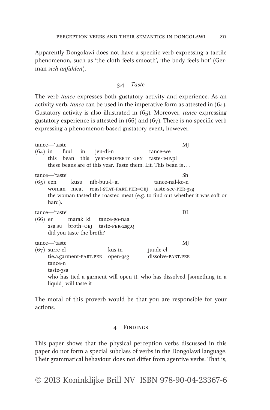Apparently Dongolawi does not have a specific verb expressing a tactile phenomenon, such as 'the cloth feels smooth', 'the body feels hot' (German *sich anfühlen*).

### 3.4 *Taste*

The verb *tance* expresses both gustatory activity and experience. As an activity verb, *tance* can be used in the imperative form as attested in (64). Gustatory activity is also illustrated in (65). Moreover, *tance* expressing gustatory experience is attested in  $(66)$  and  $(67)$ . There is no specific verb expressing a phenomenon-based gustatory event, however.

tance—'taste' MJ  $(64)$  in fuul in jen-di-n tance-we this bean this year-property=gen taste-imp.pl these beans are of this year. Taste them. Lit. This bean is . . . tance—'taste' Sh (65) een kusu nib-buu-l=gi tance-nal-ko-n woman meat roast-stat-part.per=obj taste-see-per-3sg the woman tasted the roasted meat (e.g. to find out whether it was soft or hard). tance—'taste' DL (66) er marak=ki tance-go-naa 2sg.su broth=obj taste-per-2sg.q did you taste the broth? tance—'taste' MJ (67) surre-el kus-in juude-el tie.a.garment-part.per open-3sg dissolve-part.per tance-n taste-3sg who has tied a garment will open it, who has dissolved [something in a liquid] will taste it

The moral of this proverb would be that you are responsible for your actions.

#### 4 Findings

This paper shows that the physical perception verbs discussed in this paper do not form a special subclass of verbs in the Dongolawi language. Their grammatical behaviour does not differ from agentive verbs. That is,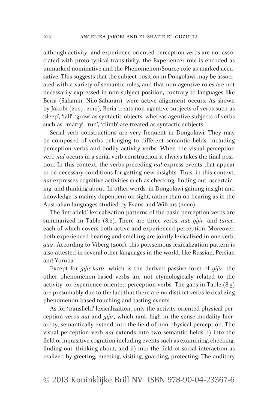although activity- and experience-oriented perception verbs are not associated with proto-typical transitivity, the Experiencer role is encoded as unmarked nominative and the Phenomenon/Source role as marked accusative. This suggests that the subject position in Dongolawi may be associated with a variety of semantic roles, and that non-agentive roles are not necessarily expressed in non-subject position, contrary to languages like Beria (Saharan, Nilo-Saharan), were active alignment occurs. As shown by Jakobi (2007, 2010), Beria treats non-agentive subjects of verbs such as 'sleep', 'fall', 'grow' as syntactic objects, whereas agentive subjects of verbs such as, 'marry', 'run', 'climb' are treated as syntactic subjects.

Serial verb constructions are very frequent in Dongolawi. They may be composed of verbs belonging to different semantic fields, including perception verbs and bodily activity verbs. When the visual perception verb *nal* occurs in a serial verb construction it always takes the final position. In this context, the verbs preceding *nal* express events that appear to be necessary conditions for getting new insights. Thus, in this context, *nal* expresses cognitive activities such as checking, finding out, ascertaining, and thinking about. In other words, in Dongolawi gaining insight and knowledge is mainly dependent on sight, rather than on hearing as in the Australian languages studied by Evans and Wilkins (2000).

The 'intrafield' lexicalization patterns of the basic perception verbs are summarized in Table (8.2). There are three verbs, *nal, gijir*, and *tance*, each of which covers both active and experienced perception. Moreover, both experienced hearing and smelling are jointly lexicalized in one verb, *gijir*. According to Viberg (2001), this polysemous lexicalization pattern is also attested in several other languages in the world, like Russian, Persian and Yoruba.

Except for *gijir-katti-* which is the derived passive form of *gijir*, the other phenomenon-based verbs are not etymologically related to the activity- or experience-oriented perception verbs. The gaps in Table (8.3) are presumably due to the fact that there are no distinct verbs lexicalizing phenomenon-based touching and tasting events.

As for 'transfield' lexicalization, only the activity-oriented physical perception verbs *nal* and *gijir*, which rank high in the sense-modality hierarchy, semantically extend into the field of non-physical perception. The visual perception verb *nal* extends into two semantic fields, i) into the field of inquisitive cognition including events such as examining, checking, finding out, thinking about, and ii) into the field of social interaction as realized by greeting, meeting, visiting, guarding, protecting. The auditory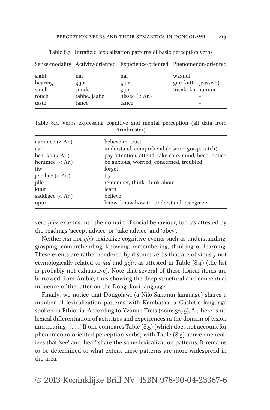|         |              |                | Sense-modality Activity-oriented Experience-oriented Phenomenon-oriented |
|---------|--------------|----------------|--------------------------------------------------------------------------|
| sight   | nal          | nal            | waandi                                                                   |
| hearing | gijir        | gijir          | gijir-katti- (passive)                                                   |
| smell   | sunde        | gijir          | iris=ki ko, numme                                                        |
| touch   | tabbe, jaabe | hissee $(Ar.)$ |                                                                          |
| taste   | tance        | tance          |                                                                          |

Table 8.3. Intrafield lexicalization patterns of basic perception verbs

Table 8.4. Verbs expressing cognitive and mental perception (all data from Armbruster)

| aaminee $(Ar.)$<br>aar<br>baal ko $(Ar.)$ | believe in, trust<br>understand, comprehend $\langle\langle$ seize, grasp, catch $\rangle$<br>pay attention, attend, take care, mind, heed, notice |
|-------------------------------------------|----------------------------------------------------------------------------------------------------------------------------------------------------|
| hemmee $(Ar.)$                            | be anxious, worried, concerned, troubled                                                                                                           |
| iiw                                       | forget                                                                                                                                             |
| jerribee $(Ar.)$                          | try                                                                                                                                                |
| jille                                     | remember, think, think about                                                                                                                       |
| kuur                                      | learn                                                                                                                                              |
| saddigee $(Ar.)$                          | believe                                                                                                                                            |
| upur                                      | know, know how to, understand, recognize                                                                                                           |

verb *gijir* extends into the domain of social behaviour, too, as attested by the readings 'accept advice' or 'take advice' and 'obey'.

Neither *nal* nor *gijir* lexicalize cognitive events such as understanding, grasping, comprehending, knowing, remembering, thinking or learning. These events are rather rendered by distinct verbs that are obviously not etymologically related to *nal* and *gijir*, as attested in Table (8.4) (the list is probably not exhaustive). Note that several of these lexical items are borrowed from Arabic, thus showing the deep structural and conceptual influence of the latter on the Dongolawi language.

Finally, we notice that Dongolawi (a Nilo-Saharan language) shares a number of lexicalization patterns with Kambataa, a Cushitic language spoken in Ethiopia. According to Yvonne Treis (2010: 3279), "[t]here is no lexical diffferentiation of activities and experiences in the domain of vision and hearing [. . .]." If one compares Table (8.5) (which does not account for phenomenon-oriented perception verbs) with Table (8.3) above one realizes that 'see' and 'hear' share the same lexicalization patterns. It remains to be determined to what extent these patterns are more widespread in the area.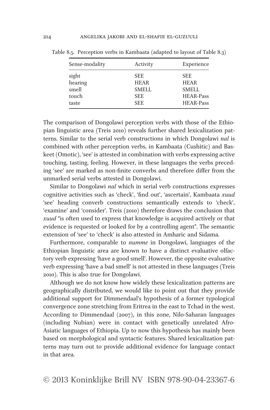| Sense-modality | Activity     | Experience       |
|----------------|--------------|------------------|
| sight          | <b>SEE</b>   | <b>SEE</b>       |
| hearing        | <b>HEAR</b>  | <b>HEAR</b>      |
| smell          | <b>SMELL</b> | <b>SMELL</b>     |
| touch          | <b>SEE</b>   | <b>HEAR-Pass</b> |
| taste          | <b>SEE</b>   | <b>HEAR-Pass</b> |

Table 8.5. Perception verbs in Kambaata (adapted to layout of Table 8.3)

The comparison of Dongolawi perception verbs with those of the Ethiopian linguistic area (Treis 2010) reveals further shared lexicalization patterns. Similar to the serial verb constructions in which Dongolawi *nal* is combined with other perception verbs, in Kambaata (Cushitic) and Baskeet (Omotic), 'see' is attested in combination with verbs expressing active touching, tasting, feeling. However, in these languages the verbs preceding 'see' are marked as non-finite converbs and therefore differ from the unmarked serial verbs attested in Dongolawi.

Similar to Dongolawi *nal* which in serial verb constructions expresses cognitive activities such as 'check', 'find out', 'ascertain', Kambaata *xuud* 'see' heading converb constructions semantically extends to 'check', 'examine' and 'consider'. Treis (2010) therefore draws the conclusion that *xuud* "is often used to express that knowledge is acquired actively or that evidence is requested or looked for by a controlling agent". The semantic extension of 'see' to 'check' is also attested in Amharic and Sidama.

Furthermore, comparable to *numme* in Dongolawi, languages of the Ethiopian linguistic area are known to have a distinct evaluative olfactory verb expressing 'have a good smell'. However, the opposite evaluative verb expressing 'have a bad smell' is not attested in these languages (Treis 2010). This is also true for Dongolawi.

Although we do not know how widely these lexicalization patterns are geographically distributed, we would like to point out that they provide additional support for Dimmendaal's hypothesis of a former typological convergence zone stretching from Eritrea in the east to Tchad in the west. According to Dimmendaal (2007), in this zone, Nilo-Saharan languages (including Nubian) were in contact with genetically unrelated Afro-Asiatic languages of Ethiopia. Up to now this hypothesis has mainly been based on morphological and syntactic features. Shared lexicalization patterns may turn out to provide additional evidence for language contact in that area.